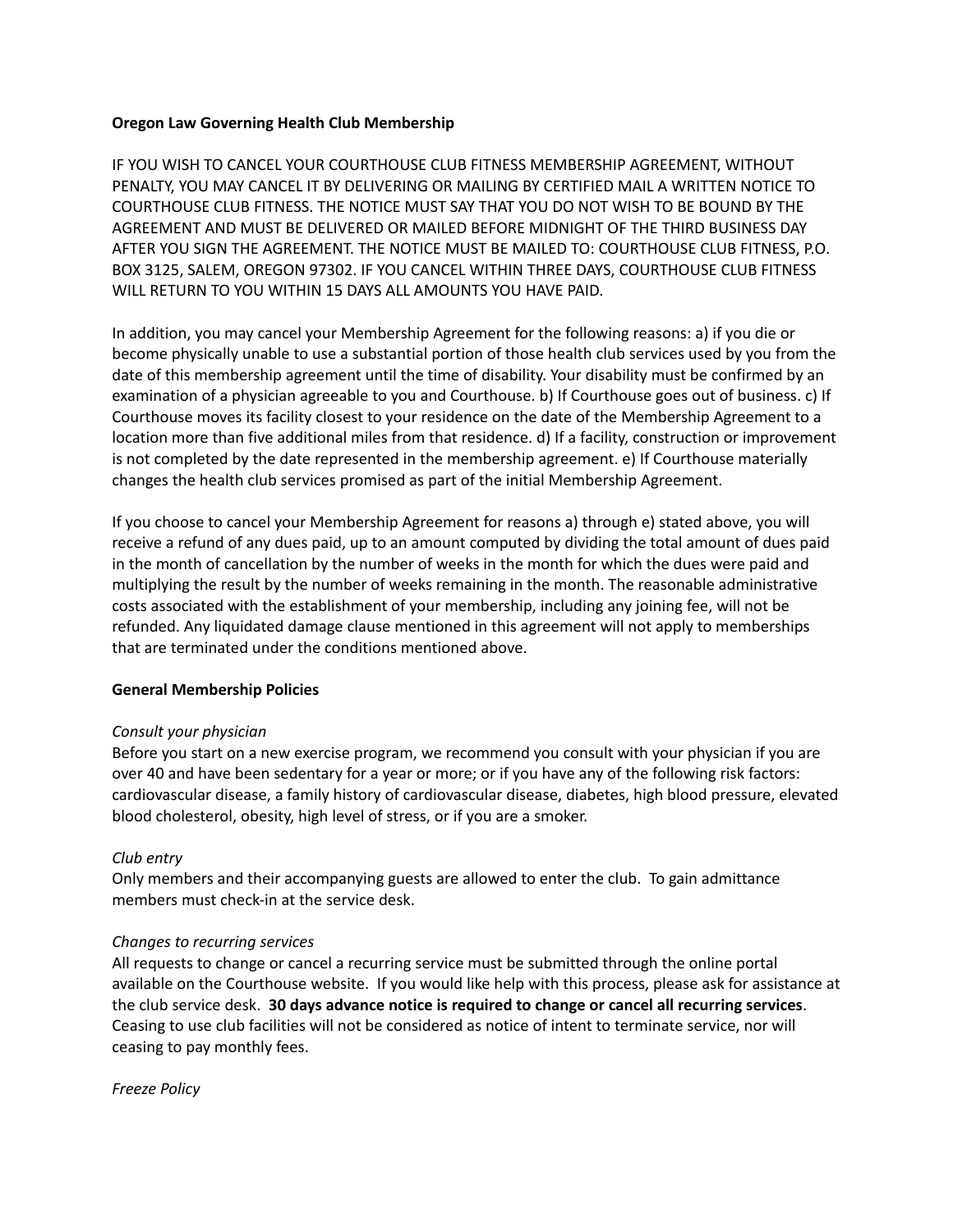#### **Oregon Law Governing Health Club Membership**

IF YOU WISH TO CANCEL YOUR COURTHOUSE CLUB FITNESS MEMBERSHIP AGREEMENT, WITHOUT PENALTY, YOU MAY CANCEL IT BY DELIVERING OR MAILING BY CERTIFIED MAIL A WRITTEN NOTICE TO COURTHOUSE CLUB FITNESS. THE NOTICE MUST SAY THAT YOU DO NOT WISH TO BE BOUND BY THE AGREEMENT AND MUST BE DELIVERED OR MAILED BEFORE MIDNIGHT OF THE THIRD BUSINESS DAY AFTER YOU SIGN THE AGREEMENT. THE NOTICE MUST BE MAILED TO: COURTHOUSE CLUB FITNESS, P.O. BOX 3125, SALEM, OREGON 97302. IF YOU CANCEL WITHIN THREE DAYS, COURTHOUSE CLUB FITNESS WILL RETURN TO YOU WITHIN 15 DAYS ALL AMOUNTS YOU HAVE PAID.

In addition, you may cancel your Membership Agreement for the following reasons: a) if you die or become physically unable to use a substantial portion of those health club services used by you from the date of this membership agreement until the time of disability. Your disability must be confirmed by an examination of a physician agreeable to you and Courthouse. b) If Courthouse goes out of business. c) If Courthouse moves its facility closest to your residence on the date of the Membership Agreement to a location more than five additional miles from that residence. d) If a facility, construction or improvement is not completed by the date represented in the membership agreement. e) If Courthouse materially changes the health club services promised as part of the initial Membership Agreement.

If you choose to cancel your Membership Agreement for reasons a) through e) stated above, you will receive a refund of any dues paid, up to an amount computed by dividing the total amount of dues paid in the month of cancellation by the number of weeks in the month for which the dues were paid and multiplying the result by the number of weeks remaining in the month. The reasonable administrative costs associated with the establishment of your membership, including any joining fee, will not be refunded. Any liquidated damage clause mentioned in this agreement will not apply to memberships that are terminated under the conditions mentioned above.

## **General Membership Policies**

#### *Consult your physician*

Before you start on a new exercise program, we recommend you consult with your physician if you are over 40 and have been sedentary for a year or more; or if you have any of the following risk factors: cardiovascular disease, a family history of cardiovascular disease, diabetes, high blood pressure, elevated blood cholesterol, obesity, high level of stress, or if you are a smoker.

#### *Club entry*

Only members and their accompanying guests are allowed to enter the club. To gain admittance members must check-in at the service desk.

#### *Changes to recurring services*

All requests to change or cancel a recurring service must be submitted through the online portal available on the Courthouse website. If you would like help with this process, please ask for assistance at the club service desk. **30 days advance notice is required to change or cancel all recurring services**. Ceasing to use club facilities will not be considered as notice of intent to terminate service, nor will ceasing to pay monthly fees.

*Freeze Policy*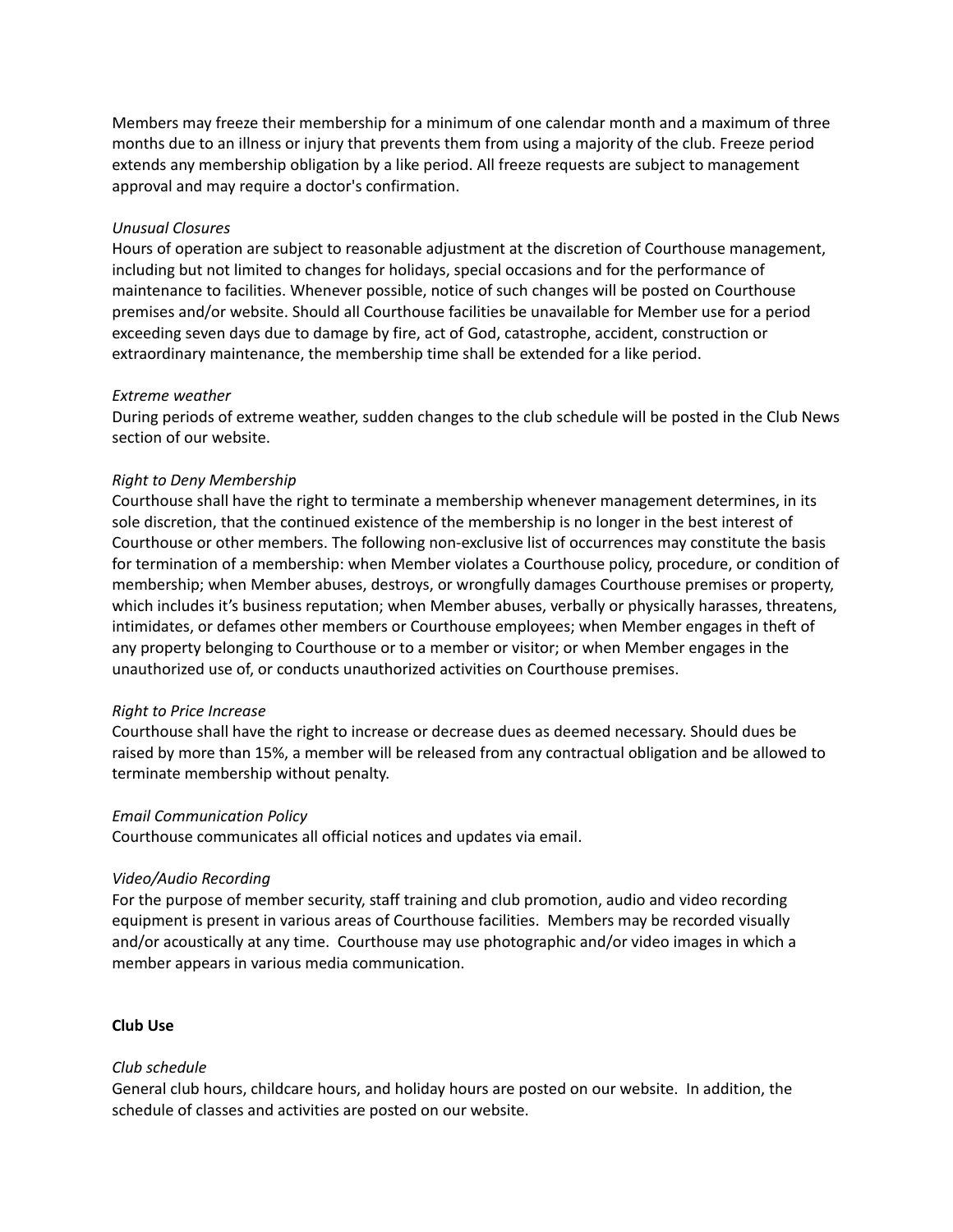Members may freeze their membership for a minimum of one calendar month and a maximum of three months due to an illness or injury that prevents them from using a majority of the club. Freeze period extends any membership obligation by a like period. All freeze requests are subject to management approval and may require a doctor's confirmation.

### *Unusual Closures*

Hours of operation are subject to reasonable adjustment at the discretion of Courthouse management, including but not limited to changes for holidays, special occasions and for the performance of maintenance to facilities. Whenever possible, notice of such changes will be posted on Courthouse premises and/or website. Should all Courthouse facilities be unavailable for Member use for a period exceeding seven days due to damage by fire, act of God, catastrophe, accident, construction or extraordinary maintenance, the membership time shall be extended for a like period.

#### *Extreme weather*

During periods of extreme weather, sudden changes to the club schedule will be posted in the Club News section of our website.

### *Right to Deny Membership*

Courthouse shall have the right to terminate a membership whenever management determines, in its sole discretion, that the continued existence of the membership is no longer in the best interest of Courthouse or other members. The following non-exclusive list of occurrences may constitute the basis for termination of a membership: when Member violates a Courthouse policy, procedure, or condition of membership; when Member abuses, destroys, or wrongfully damages Courthouse premises or property, which includes it's business reputation; when Member abuses, verbally or physically harasses, threatens, intimidates, or defames other members or Courthouse employees; when Member engages in theft of any property belonging to Courthouse or to a member or visitor; or when Member engages in the unauthorized use of, or conducts unauthorized activities on Courthouse premises.

#### *Right to Price Increase*

Courthouse shall have the right to increase or decrease dues as deemed necessary. Should dues be raised by more than 15%, a member will be released from any contractual obligation and be allowed to terminate membership without penalty.

#### *Email Communication Policy*

Courthouse communicates all official notices and updates via email.

## *Video/Audio Recording*

For the purpose of member security, staff training and club promotion, audio and video recording equipment is present in various areas of Courthouse facilities. Members may be recorded visually and/or acoustically at any time. Courthouse may use photographic and/or video images in which a member appears in various media communication.

#### **Club Use**

#### *Club schedule*

General club hours, childcare hours, and holiday hours are posted on our website. In addition, the schedule of classes and activities are posted on our website.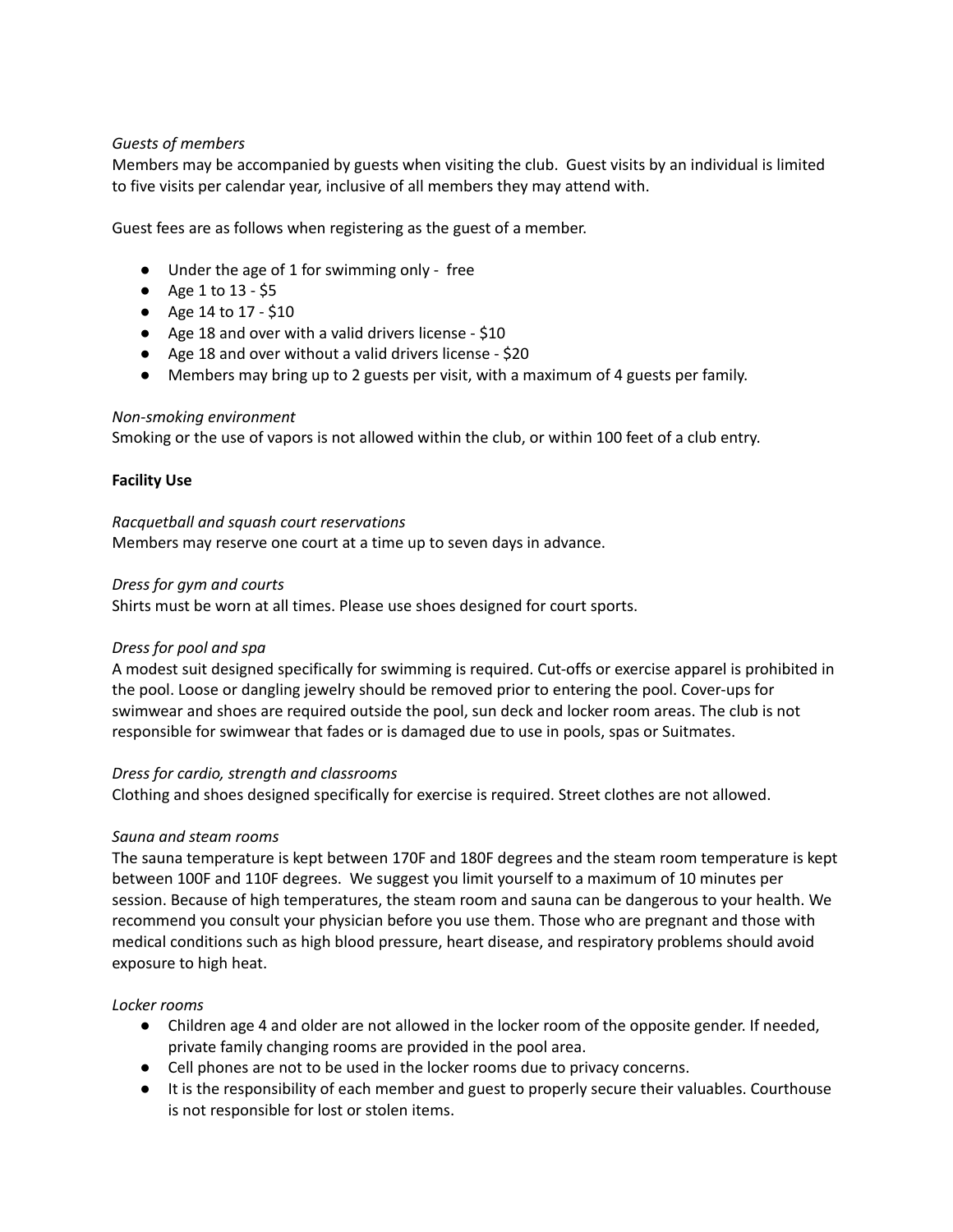## *Guests of members*

Members may be accompanied by guests when visiting the club. Guest visits by an individual is limited to five visits per calendar year, inclusive of all members they may attend with.

Guest fees are as follows when registering as the guest of a member.

- Under the age of 1 for swimming only free
- Age 1 to 13 \$5
- Age 14 to 17 \$10
- Age 18 and over with a valid drivers license \$10
- Age 18 and over without a valid drivers license \$20
- Members may bring up to 2 guests per visit, with a maximum of 4 guests per family.

### *Non-smoking environment*

Smoking or the use of vapors is not allowed within the club, or within 100 feet of a club entry.

## **Facility Use**

### *Racquetball and squash court reservations*

Members may reserve one court at a time up to seven days in advance.

### *Dress for gym and courts*

Shirts must be worn at all times. Please use shoes designed for court sports.

## *Dress for pool and spa*

A modest suit designed specifically for swimming is required. Cut-offs or exercise apparel is prohibited in the pool. Loose or dangling jewelry should be removed prior to entering the pool. Cover-ups for swimwear and shoes are required outside the pool, sun deck and locker room areas. The club is not responsible for swimwear that fades or is damaged due to use in pools, spas or Suitmates.

## *Dress for cardio, strength and classrooms*

Clothing and shoes designed specifically for exercise is required. Street clothes are not allowed.

## *Sauna and steam rooms*

The sauna temperature is kept between 170F and 180F degrees and the steam room temperature is kept between 100F and 110F degrees. We suggest you limit yourself to a maximum of 10 minutes per session. Because of high temperatures, the steam room and sauna can be dangerous to your health. We recommend you consult your physician before you use them. Those who are pregnant and those with medical conditions such as high blood pressure, heart disease, and respiratory problems should avoid exposure to high heat.

## *Locker rooms*

- Children age 4 and older are not allowed in the locker room of the opposite gender. If needed, private family changing rooms are provided in the pool area.
- Cell phones are not to be used in the locker rooms due to privacy concerns.
- It is the responsibility of each member and guest to properly secure their valuables. Courthouse is not responsible for lost or stolen items.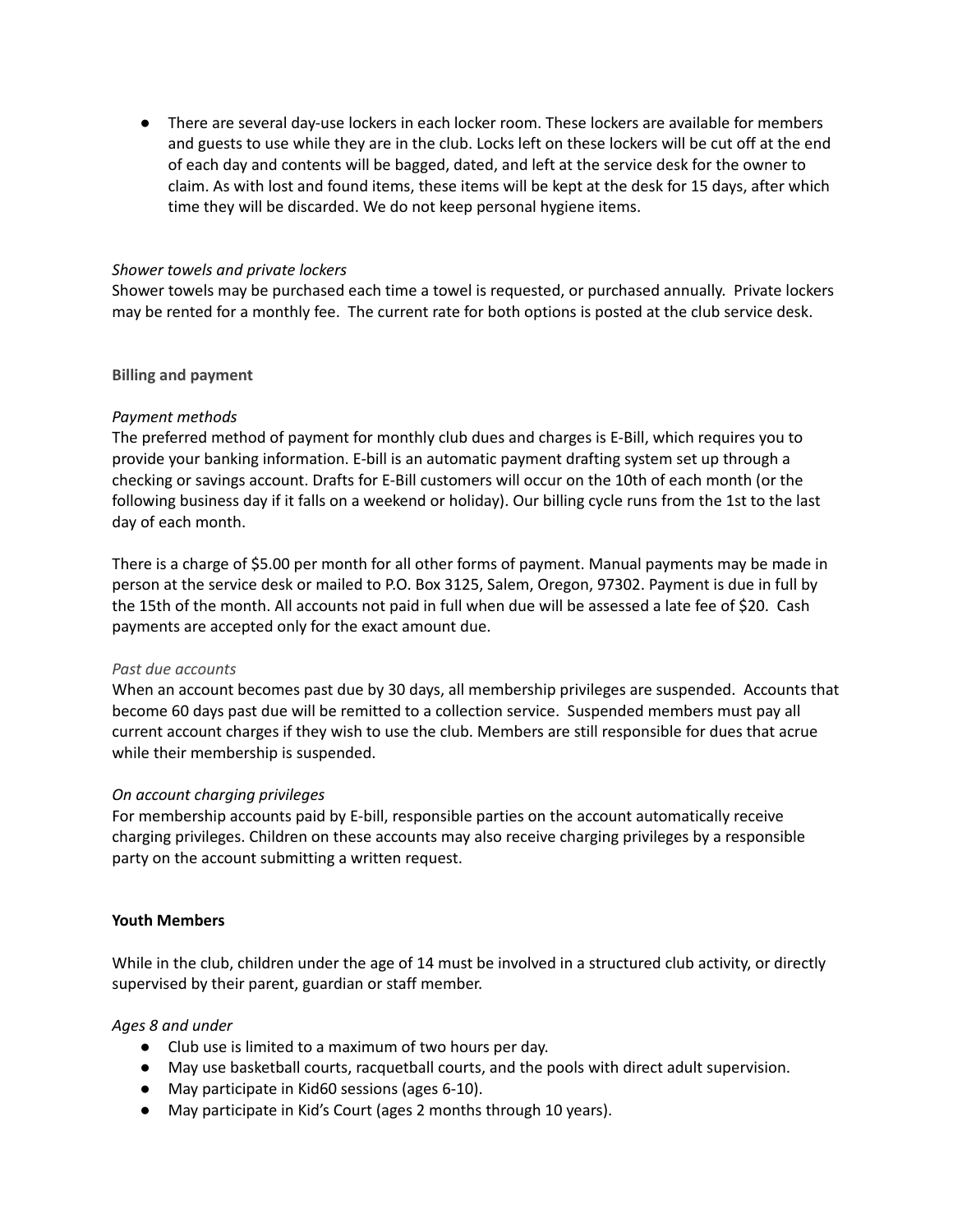● There are several day-use lockers in each locker room. These lockers are available for members and guests to use while they are in the club. Locks left on these lockers will be cut off at the end of each day and contents will be bagged, dated, and left at the service desk for the owner to claim. As with lost and found items, these items will be kept at the desk for 15 days, after which time they will be discarded. We do not keep personal hygiene items.

## *Shower towels and private lockers*

Shower towels may be purchased each time a towel is requested, or purchased annually. Private lockers may be rented for a monthly fee. The current rate for both options is posted at the club service desk.

### **Billing and payment**

### *Payment methods*

The preferred method of payment for monthly club dues and charges is E-Bill, which requires you to provide your banking information. E-bill is an automatic payment drafting system set up through a checking or savings account. Drafts for E-Bill customers will occur on the 10th of each month (or the following business day if it falls on a weekend or holiday). Our billing cycle runs from the 1st to the last day of each month.

There is a charge of \$5.00 per month for all other forms of payment. Manual payments may be made in person at the service desk or mailed to P.O. Box 3125, Salem, Oregon, 97302. Payment is due in full by the 15th of the month. All accounts not paid in full when due will be assessed a late fee of \$20. Cash payments are accepted only for the exact amount due.

#### *Past due accounts*

When an account becomes past due by 30 days, all membership privileges are suspended. Accounts that become 60 days past due will be remitted to a collection service. Suspended members must pay all current account charges if they wish to use the club. Members are still responsible for dues that acrue while their membership is suspended.

#### *On account charging privileges*

For membership accounts paid by E-bill, responsible parties on the account automatically receive charging privileges. Children on these accounts may also receive charging privileges by a responsible party on the account submitting a written request.

#### **Youth Members**

While in the club, children under the age of 14 must be involved in a structured club activity, or directly supervised by their parent, guardian or staff member.

#### *Ages 8 and under*

- Club use is limited to a maximum of two hours per day.
- May use basketball courts, racquetball courts, and the pools with direct adult supervision.
- May participate in Kid60 sessions (ages 6-10).
- May participate in Kid's Court (ages 2 months through 10 years).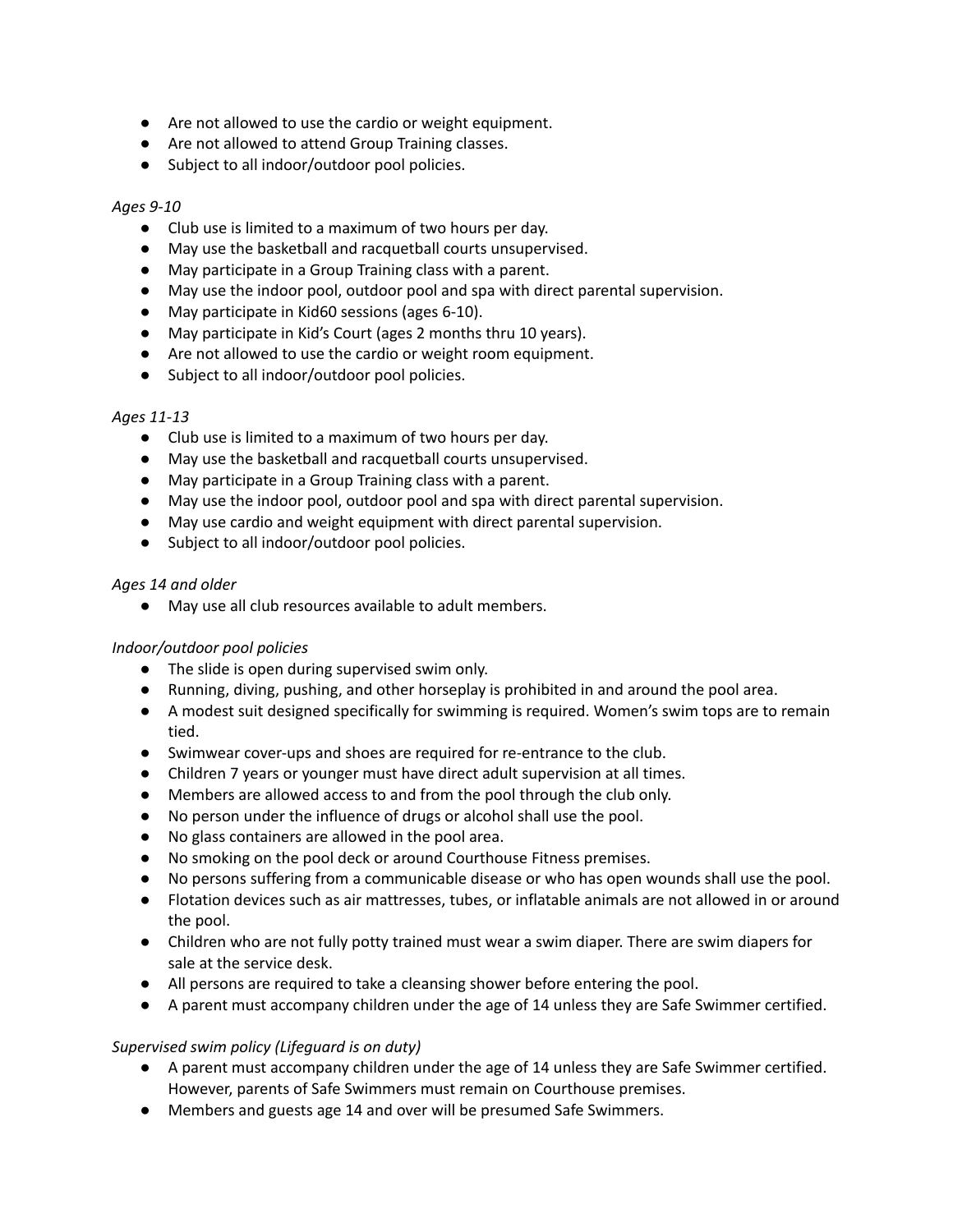- Are not allowed to use the cardio or weight equipment.
- Are not allowed to attend Group Training classes.
- Subject to all indoor/outdoor pool policies.

## *Ages 9-10*

- Club use is limited to a maximum of two hours per day.
- May use the basketball and racquetball courts unsupervised.
- May participate in a Group Training class with a parent.
- May use the indoor pool, outdoor pool and spa with direct parental supervision.
- May participate in Kid60 sessions (ages 6-10).
- May participate in Kid's Court (ages 2 months thru 10 years).
- Are not allowed to use the cardio or weight room equipment.
- Subject to all indoor/outdoor pool policies.

# *Ages 11-13*

- Club use is limited to a maximum of two hours per day.
- May use the basketball and racquetball courts unsupervised.
- May participate in a Group Training class with a parent.
- May use the indoor pool, outdoor pool and spa with direct parental supervision.
- May use cardio and weight equipment with direct parental supervision.
- Subject to all indoor/outdoor pool policies.

## *Ages 14 and older*

● May use all club resources available to adult members.

## *Indoor/outdoor pool policies*

- The slide is open during supervised swim only.
- Running, diving, pushing, and other horseplay is prohibited in and around the pool area.
- A modest suit designed specifically for swimming is required. Women's swim tops are to remain tied.
- Swimwear cover-ups and shoes are required for re-entrance to the club.
- Children 7 years or younger must have direct adult supervision at all times.
- Members are allowed access to and from the pool through the club only.
- No person under the influence of drugs or alcohol shall use the pool.
- No glass containers are allowed in the pool area.
- No smoking on the pool deck or around Courthouse Fitness premises.
- No persons suffering from a communicable disease or who has open wounds shall use the pool.
- Flotation devices such as air mattresses, tubes, or inflatable animals are not allowed in or around the pool.
- Children who are not fully potty trained must wear a swim diaper. There are swim diapers for sale at the service desk.
- All persons are required to take a cleansing shower before entering the pool.
- A parent must accompany children under the age of 14 unless they are Safe Swimmer certified.

# *Supervised swim policy (Lifeguard is on duty)*

- A parent must accompany children under the age of 14 unless they are Safe Swimmer certified. However, parents of Safe Swimmers must remain on Courthouse premises.
- Members and guests age 14 and over will be presumed Safe Swimmers.